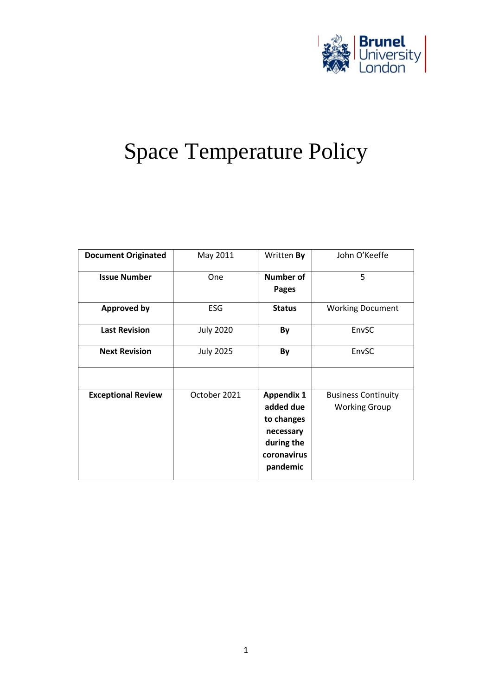

# Space Temperature Policy

| <b>Document Originated</b> | May 2011         | Written By                                                                                         | John O'Keeffe                                      |
|----------------------------|------------------|----------------------------------------------------------------------------------------------------|----------------------------------------------------|
| <b>Issue Number</b>        | One              | <b>Number of</b><br>Pages                                                                          | 5                                                  |
| <b>Approved by</b>         | <b>ESG</b>       | <b>Status</b>                                                                                      | <b>Working Document</b>                            |
| <b>Last Revision</b>       | <b>July 2020</b> | By                                                                                                 | EnvSC                                              |
| <b>Next Revision</b>       | <b>July 2025</b> | By                                                                                                 | EnvSC                                              |
|                            |                  |                                                                                                    |                                                    |
| <b>Exceptional Review</b>  | October 2021     | <b>Appendix 1</b><br>added due<br>to changes<br>necessary<br>during the<br>coronavirus<br>pandemic | <b>Business Continuity</b><br><b>Working Group</b> |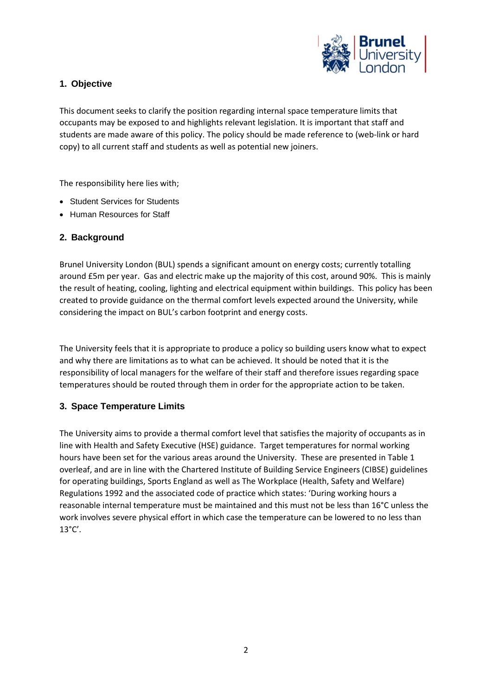

## **1. Objective**

This document seeks to clarify the position regarding internal space temperature limits that occupants may be exposed to and highlights relevant legislation. It is important that staff and students are made aware of this policy. The policy should be made reference to (web-link or hard copy) to all current staff and students as well as potential new joiners.

The responsibility here lies with;

- Student Services for Students
- Human Resources for Staff

## **2. Background**

Brunel University London (BUL) spends a significant amount on energy costs; currently totalling around £5m per year. Gas and electric make up the majority of this cost, around 90%. This is mainly the result of heating, cooling, lighting and electrical equipment within buildings. This policy has been created to provide guidance on the thermal comfort levels expected around the University, while considering the impact on BUL's carbon footprint and energy costs.

The University feels that it is appropriate to produce a policy so building users know what to expect and why there are limitations as to what can be achieved. It should be noted that it is the responsibility of local managers for the welfare of their staff and therefore issues regarding space temperatures should be routed through them in order for the appropriate action to be taken.

#### **3. Space Temperature Limits**

The University aims to provide a thermal comfort level that satisfies the majority of occupants as in line with Health and Safety Executive (HSE) guidance. Target temperatures for normal working hours have been set for the various areas around the University. These are presented in Table 1 overleaf, and are in line with the Chartered Institute of Building Service Engineers (CIBSE) guidelines for operating buildings, Sports England as well as The Workplace (Health, Safety and Welfare) Regulations 1992 and the associated code of practice which states: 'During working hours a reasonable internal temperature must be maintained and this must not be less than 16°C unless the work involves severe physical effort in which case the temperature can be lowered to no less than 13°C'.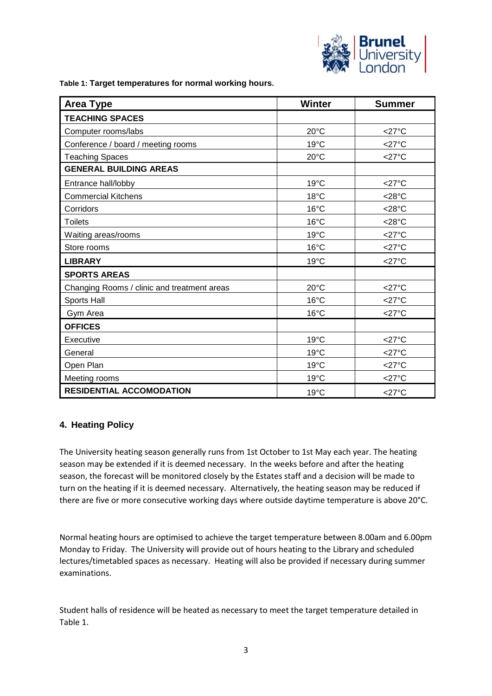

<span id="page-2-0"></span>**Table 1: Target temperatures for normal working hours.**

| <b>Area Type</b>                            | <b>Winter</b>  | <b>Summer</b>       |
|---------------------------------------------|----------------|---------------------|
| <b>TEACHING SPACES</b>                      |                |                     |
| Computer rooms/labs                         | $20^{\circ}$ C | $<$ 27°C            |
| Conference / board / meeting rooms          | 19°C           | $<$ 27°C            |
| <b>Teaching Spaces</b>                      | $20^{\circ}$ C | $<$ 27°C            |
| <b>GENERAL BUILDING AREAS</b>               |                |                     |
| Entrance hall/lobby                         | $19^{\circ}$ C | $<$ 27°C            |
| <b>Commercial Kitchens</b>                  | 18°C           | $<$ 28°C            |
| Corridors                                   | $16^{\circ}$ C | $<$ 28 $^{\circ}$ C |
| <b>Toilets</b>                              | 16°C           | $<$ 28 $^{\circ}$ C |
| Waiting areas/rooms                         | 19°C           | $<$ 27 $^{\circ}$ C |
| Store rooms                                 | 16°C           | $<$ 27°C            |
| <b>LIBRARY</b>                              | 19°C           | $<$ 27°C            |
| <b>SPORTS AREAS</b>                         |                |                     |
| Changing Rooms / clinic and treatment areas | 20°C           | $<$ 27 $^{\circ}$ C |
| Sports Hall                                 | $16^{\circ}$ C | $<$ 27°C            |
| Gym Area                                    | 16°C           | $<$ 27°C            |
| <b>OFFICES</b>                              |                |                     |
| Executive                                   | 19°C           | $<$ 27°C            |
| General                                     | 19°C           | $<$ 27 $^{\circ}$ C |
| Open Plan                                   | $19^{\circ}$ C | $<$ 27°C            |
| Meeting rooms                               | 19°C           | $<$ 27°C            |
| <b>RESIDENTIAL ACCOMODATION</b>             | 19°C           | $<$ 27°C            |

#### **4. Heating Policy**

The University heating season generally runs from 1st October to 1st May each year. The heating season may be extended if it is deemed necessary. In the weeks before and after the heating season, the forecast will be monitored closely by the Estates staff and a decision will be made to turn on the heating if it is deemed necessary. Alternatively, the heating season may be reduced if there are five or more consecutive working days where outside daytime temperature is above 20°C.

Normal heating hours are optimised to achieve the target temperature between 8.00am and 6.00pm Monday to Friday. The University will provide out of hours heating to the Library and scheduled lectures/timetabled spaces as necessary. Heating will also be provided if necessary during summer examinations.

Student halls of residence will be heated as necessary to meet the target temperature detailed in [Table 1.](#page-2-0)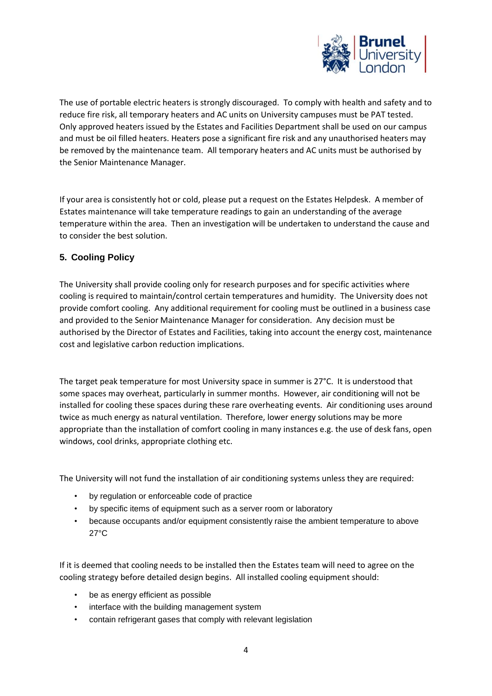

The use of portable electric heaters is strongly discouraged. To comply with health and safety and to reduce fire risk, all temporary heaters and AC units on University campuses must be PAT tested. Only approved heaters issued by the Estates and Facilities Department shall be used on our campus and must be oil filled heaters. Heaters pose a significant fire risk and any unauthorised heaters may be removed by the maintenance team. All temporary heaters and AC units must be authorised by the Senior Maintenance Manager.

If your area is consistently hot or cold, please put a request on the Estates Helpdesk. A member of Estates maintenance will take temperature readings to gain an understanding of the average temperature within the area. Then an investigation will be undertaken to understand the cause and to consider the best solution.

## **5. Cooling Policy**

The University shall provide cooling only for research purposes and for specific activities where cooling is required to maintain/control certain temperatures and humidity. The University does not provide comfort cooling. Any additional requirement for cooling must be outlined in a business case and provided to the Senior Maintenance Manager for consideration. Any decision must be authorised by the Director of Estates and Facilities, taking into account the energy cost, maintenance cost and legislative carbon reduction implications.

The target peak temperature for most University space in summer is 27°C. It is understood that some spaces may overheat, particularly in summer months. However, air conditioning will not be installed for cooling these spaces during these rare overheating events. Air conditioning uses around twice as much energy as natural ventilation. Therefore, lower energy solutions may be more appropriate than the installation of comfort cooling in many instances e.g. the use of desk fans, open windows, cool drinks, appropriate clothing etc.

The University will not fund the installation of air conditioning systems unless they are required:

- by regulation or enforceable code of practice
- by specific items of equipment such as a server room or laboratory
- because occupants and/or equipment consistently raise the ambient temperature to above 27°C

If it is deemed that cooling needs to be installed then the Estates team will need to agree on the cooling strategy before detailed design begins. All installed cooling equipment should:

- be as energy efficient as possible
- interface with the building management system
- contain refrigerant gases that comply with relevant legislation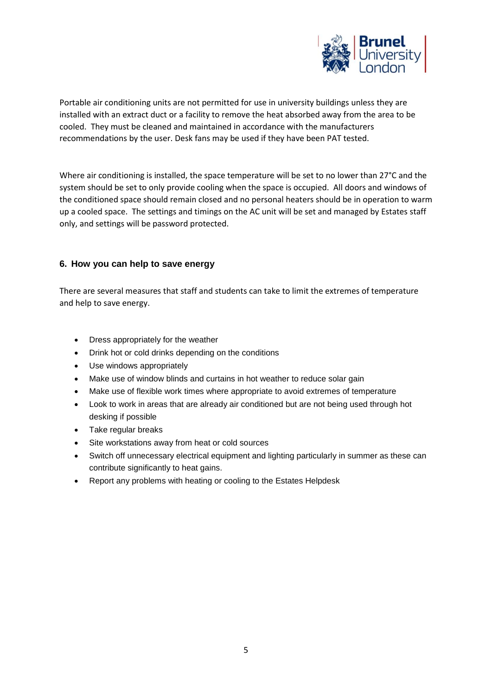

Portable air conditioning units are not permitted for use in university buildings unless they are installed with an extract duct or a facility to remove the heat absorbed away from the area to be cooled. They must be cleaned and maintained in accordance with the manufacturers recommendations by the user. Desk fans may be used if they have been PAT tested.

Where air conditioning is installed, the space temperature will be set to no lower than 27°C and the system should be set to only provide cooling when the space is occupied. All doors and windows of the conditioned space should remain closed and no personal heaters should be in operation to warm up a cooled space. The settings and timings on the AC unit will be set and managed by Estates staff only, and settings will be password protected.

## **6. How you can help to save energy**

There are several measures that staff and students can take to limit the extremes of temperature and help to save energy.

- Dress appropriately for the weather
- Drink hot or cold drinks depending on the conditions
- Use windows appropriately
- Make use of window blinds and curtains in hot weather to reduce solar gain
- Make use of flexible work times where appropriate to avoid extremes of temperature
- Look to work in areas that are already air conditioned but are not being used through hot desking if possible
- Take regular breaks
- Site workstations away from heat or cold sources
- Switch off unnecessary electrical equipment and lighting particularly in summer as these can contribute significantly to heat gains.
- Report any problems with heating or cooling to the Estates Helpdesk